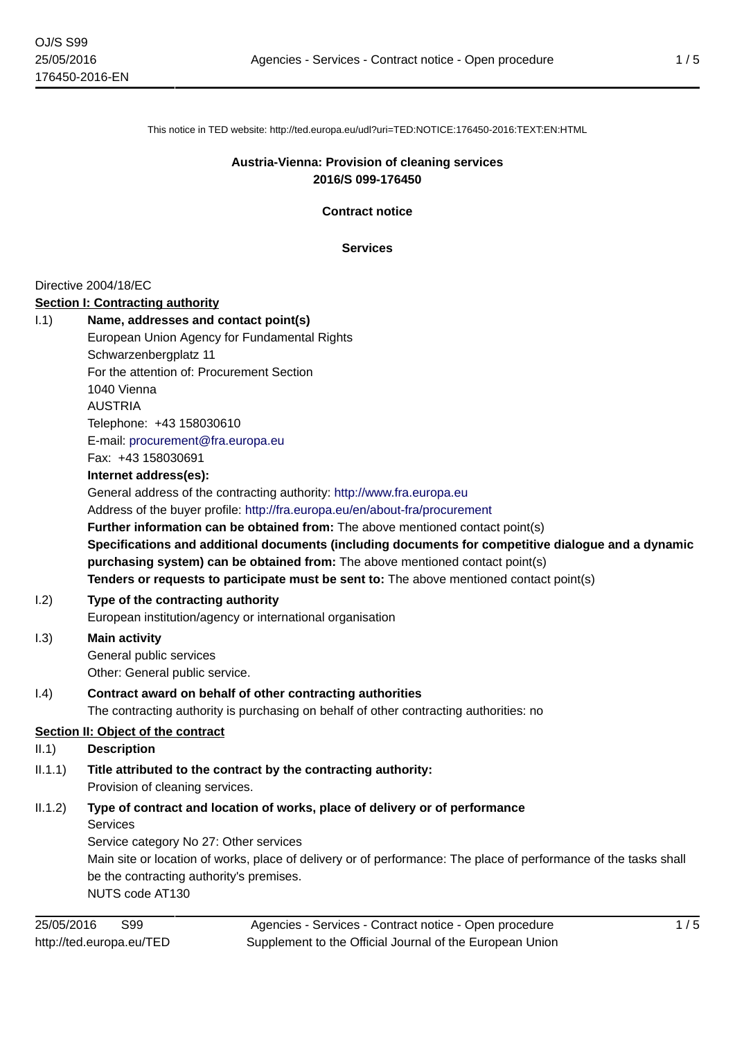This notice in TED website: http://ted.europa.eu/udl?uri=TED:NOTICE:176450-2016:TEXT:EN:HTML

### **Austria-Vienna: Provision of cleaning services 2016/S 099-176450**

**Contract notice**

**Services**

#### Directive 2004/18/EC

#### **Section I: Contracting authority**

| 1.1)                                      | Name, addresses and contact point(s)                                                                             |  |
|-------------------------------------------|------------------------------------------------------------------------------------------------------------------|--|
|                                           | European Union Agency for Fundamental Rights                                                                     |  |
|                                           | Schwarzenbergplatz 11                                                                                            |  |
|                                           | For the attention of: Procurement Section                                                                        |  |
|                                           | 1040 Vienna                                                                                                      |  |
|                                           | <b>AUSTRIA</b>                                                                                                   |  |
|                                           | Telephone: +43 158030610                                                                                         |  |
|                                           | E-mail: procurement@fra.europa.eu                                                                                |  |
|                                           | Fax: +43 158030691                                                                                               |  |
|                                           | Internet address(es):                                                                                            |  |
|                                           | General address of the contracting authority: http://www.fra.europa.eu                                           |  |
|                                           | Address of the buyer profile: http://fra.europa.eu/en/about-fra/procurement                                      |  |
|                                           | Further information can be obtained from: The above mentioned contact point(s)                                   |  |
|                                           | Specifications and additional documents (including documents for competitive dialogue and a dynamic              |  |
|                                           | purchasing system) can be obtained from: The above mentioned contact point(s)                                    |  |
|                                           | Tenders or requests to participate must be sent to: The above mentioned contact point(s)                         |  |
| 1.2)                                      | Type of the contracting authority                                                                                |  |
|                                           | European institution/agency or international organisation                                                        |  |
| 1.3)                                      | <b>Main activity</b>                                                                                             |  |
|                                           | General public services                                                                                          |  |
|                                           | Other: General public service.                                                                                   |  |
| (1.4)                                     | Contract award on behalf of other contracting authorities                                                        |  |
|                                           | The contracting authority is purchasing on behalf of other contracting authorities: no                           |  |
| <b>Section II: Object of the contract</b> |                                                                                                                  |  |
| II.1)                                     | <b>Description</b>                                                                                               |  |
| II.1.1)                                   | Title attributed to the contract by the contracting authority:                                                   |  |
|                                           | Provision of cleaning services.                                                                                  |  |
| II.1.2)                                   | Type of contract and location of works, place of delivery or of performance                                      |  |
|                                           | <b>Services</b>                                                                                                  |  |
|                                           | Service category No 27: Other services                                                                           |  |
|                                           | Main site or location of works, place of delivery or of performance: The place of performance of the tasks shall |  |
|                                           | be the contracting authority's premises.                                                                         |  |
|                                           | NUTS code AT130                                                                                                  |  |
|                                           |                                                                                                                  |  |

Agencies - Services - Contract notice - Open procedure Supplement to the Official Journal of the European Union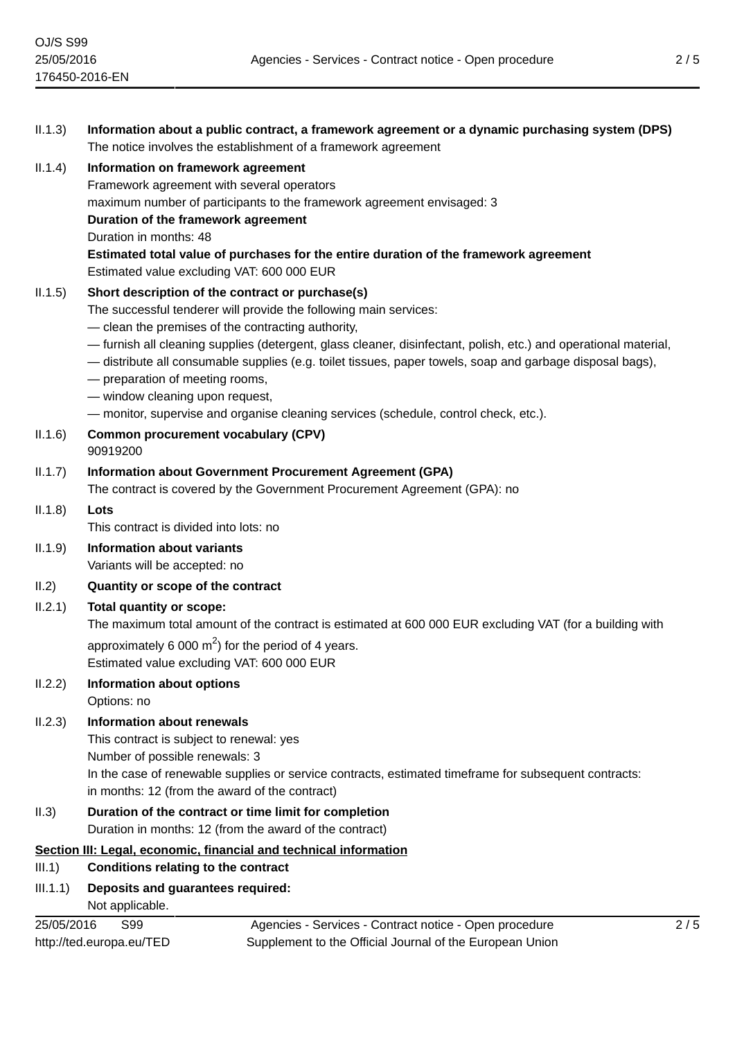| II.1.3) | Information about a public contract, a framework agreement or a dynamic purchasing system (DPS)<br>The notice involves the establishment of a framework agreement                                                                                                |
|---------|------------------------------------------------------------------------------------------------------------------------------------------------------------------------------------------------------------------------------------------------------------------|
| II.1.4) | Information on framework agreement                                                                                                                                                                                                                               |
|         | Framework agreement with several operators                                                                                                                                                                                                                       |
|         | maximum number of participants to the framework agreement envisaged: 3                                                                                                                                                                                           |
|         | Duration of the framework agreement                                                                                                                                                                                                                              |
|         | Duration in months: 48                                                                                                                                                                                                                                           |
|         | Estimated total value of purchases for the entire duration of the framework agreement<br>Estimated value excluding VAT: 600 000 EUR                                                                                                                              |
| II.1.5) | Short description of the contract or purchase(s)                                                                                                                                                                                                                 |
|         | The successful tenderer will provide the following main services:                                                                                                                                                                                                |
|         | - clean the premises of the contracting authority,                                                                                                                                                                                                               |
|         | - furnish all cleaning supplies (detergent, glass cleaner, disinfectant, polish, etc.) and operational material,<br>- distribute all consumable supplies (e.g. toilet tissues, paper towels, soap and garbage disposal bags),<br>- preparation of meeting rooms, |
|         | - window cleaning upon request,                                                                                                                                                                                                                                  |
|         | - monitor, supervise and organise cleaning services (schedule, control check, etc.).                                                                                                                                                                             |
| II.1.6) | <b>Common procurement vocabulary (CPV)</b><br>90919200                                                                                                                                                                                                           |
| II.1.7) | <b>Information about Government Procurement Agreement (GPA)</b>                                                                                                                                                                                                  |
|         | The contract is covered by the Government Procurement Agreement (GPA): no                                                                                                                                                                                        |
| II.1.8) | Lots                                                                                                                                                                                                                                                             |
|         | This contract is divided into lots: no                                                                                                                                                                                                                           |
| II.1.9) | <b>Information about variants</b>                                                                                                                                                                                                                                |
|         | Variants will be accepted: no                                                                                                                                                                                                                                    |
| II.2)   | Quantity or scope of the contract                                                                                                                                                                                                                                |
| II.2.1) | <b>Total quantity or scope:</b>                                                                                                                                                                                                                                  |
|         | The maximum total amount of the contract is estimated at 600 000 EUR excluding VAT (for a building with                                                                                                                                                          |
|         | approximately 6 000 $m2$ for the period of 4 years.<br>Estimated value excluding VAT: 600 000 EUR                                                                                                                                                                |
| II.2.2) | <b>Information about options</b>                                                                                                                                                                                                                                 |
|         | Options: no                                                                                                                                                                                                                                                      |
| II.2.3) | <b>Information about renewals</b>                                                                                                                                                                                                                                |
|         | This contract is subject to renewal: yes                                                                                                                                                                                                                         |
|         | Number of possible renewals: 3                                                                                                                                                                                                                                   |
|         | In the case of renewable supplies or service contracts, estimated timeframe for subsequent contracts:                                                                                                                                                            |
|         | in months: 12 (from the award of the contract)                                                                                                                                                                                                                   |
| II.3)   | Duration of the contract or time limit for completion                                                                                                                                                                                                            |

Duration in months: 12 (from the award of the contract)

## **Section III: Legal, economic, financial and technical information**

# III.1) **Conditions relating to the contract**

### III.1.1) **Deposits and guarantees required:** Not applicable.

25/05/2016 S99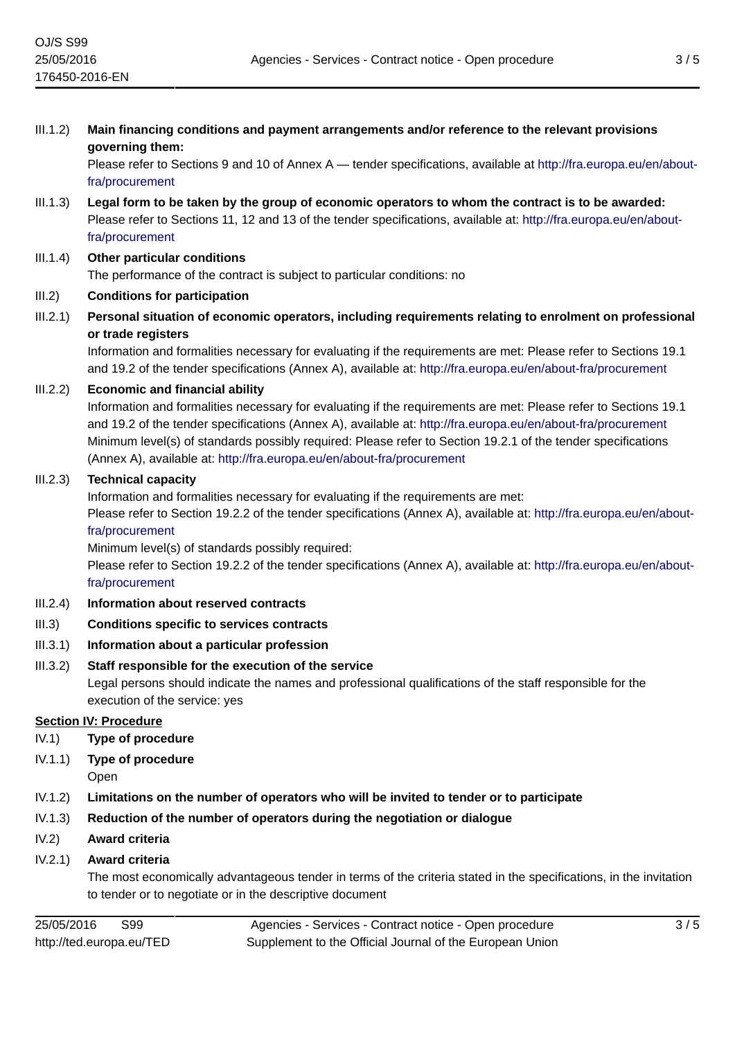III.1.2) **Main financing conditions and payment arrangements and/or reference to the relevant provisions governing them:**

Please refer to Sections 9 and 10 of Annex A — tender specifications, available at [http://fra.europa.eu/en/about](http://fra.europa.eu/en/about-fra/procurement)[fra/procurement](http://fra.europa.eu/en/about-fra/procurement)

- III.1.3) **Legal form to be taken by the group of economic operators to whom the contract is to be awarded:** Please refer to Sections 11, 12 and 13 of the tender specifications, available at: [http://fra.europa.eu/en/about](http://fra.europa.eu/en/about-fra/procurement)[fra/procurement](http://fra.europa.eu/en/about-fra/procurement)
- III.1.4) **Other particular conditions** The performance of the contract is subject to particular conditions: no

# III.2) **Conditions for participation**

III.2.1) **Personal situation of economic operators, including requirements relating to enrolment on professional or trade registers**

Information and formalities necessary for evaluating if the requirements are met: Please refer to Sections 19.1 and 19.2 of the tender specifications (Annex A), available at:<http://fra.europa.eu/en/about-fra/procurement>

### III.2.2) **Economic and financial ability**

Information and formalities necessary for evaluating if the requirements are met: Please refer to Sections 19.1 and 19.2 of the tender specifications (Annex A), available at:<http://fra.europa.eu/en/about-fra/procurement> Minimum level(s) of standards possibly required: Please refer to Section 19.2.1 of the tender specifications (Annex A), available at: <http://fra.europa.eu/en/about-fra/procurement>

### III.2.3) **Technical capacity**

Information and formalities necessary for evaluating if the requirements are met:

Please refer to Section 19.2.2 of the tender specifications (Annex A), available at: [http://fra.europa.eu/en/about](http://fra.europa.eu/en/about-fra/procurement)[fra/procurement](http://fra.europa.eu/en/about-fra/procurement)

Minimum level(s) of standards possibly required:

Please refer to Section 19.2.2 of the tender specifications (Annex A), available at: [http://fra.europa.eu/en/about](http://fra.europa.eu/en/about-fra/procurement)[fra/procurement](http://fra.europa.eu/en/about-fra/procurement)

- III.2.4) **Information about reserved contracts**
- III.3) **Conditions specific to services contracts**
- III.3.1) **Information about a particular profession**
- III.3.2) **Staff responsible for the execution of the service**

Legal persons should indicate the names and professional qualifications of the staff responsible for the execution of the service: yes

## **Section IV: Procedure**

- IV.1) **Type of procedure**
- IV.1.1) **Type of procedure**
	- Open
- IV.1.2) **Limitations on the number of operators who will be invited to tender or to participate**
- IV.1.3) **Reduction of the number of operators during the negotiation or dialogue**
- IV.2) **Award criteria**
- IV.2.1) **Award criteria**

The most economically advantageous tender in terms of the criteria stated in the specifications, in the invitation to tender or to negotiate or in the descriptive document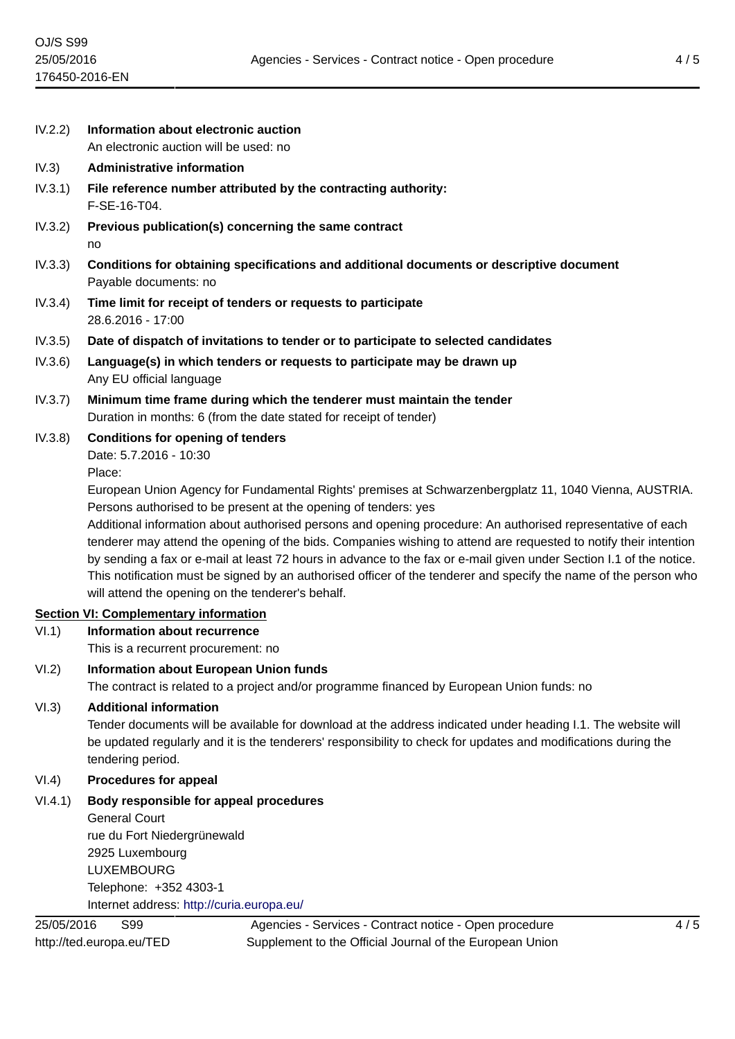IV.2.2) **Information about electronic auction**

IV.3) **Administrative information**

An electronic auction will be used: no

| IV.3.1)    | File reference number attributed by the contracting authority:<br>F-SE-16-T04.                                                                                                                                                                                                                                                                                                                                   |
|------------|------------------------------------------------------------------------------------------------------------------------------------------------------------------------------------------------------------------------------------------------------------------------------------------------------------------------------------------------------------------------------------------------------------------|
| IV.3.2)    | Previous publication(s) concerning the same contract<br>no                                                                                                                                                                                                                                                                                                                                                       |
| IV.3.3)    | Conditions for obtaining specifications and additional documents or descriptive document<br>Payable documents: no                                                                                                                                                                                                                                                                                                |
| IV.3.4)    | Time limit for receipt of tenders or requests to participate<br>28.6.2016 - 17:00                                                                                                                                                                                                                                                                                                                                |
| IV.3.5)    | Date of dispatch of invitations to tender or to participate to selected candidates                                                                                                                                                                                                                                                                                                                               |
| IV.3.6)    | Language(s) in which tenders or requests to participate may be drawn up<br>Any EU official language                                                                                                                                                                                                                                                                                                              |
| IV.3.7)    | Minimum time frame during which the tenderer must maintain the tender<br>Duration in months: 6 (from the date stated for receipt of tender)                                                                                                                                                                                                                                                                      |
| IV.3.8)    | <b>Conditions for opening of tenders</b><br>Date: 5.7.2016 - 10:30                                                                                                                                                                                                                                                                                                                                               |
|            | Place:<br>European Union Agency for Fundamental Rights' premises at Schwarzenbergplatz 11, 1040 Vienna, AUSTRIA.<br>Persons authorised to be present at the opening of tenders: yes<br>Additional information about authorised persons and opening procedure: An authorised representative of each                                                                                                               |
|            | tenderer may attend the opening of the bids. Companies wishing to attend are requested to notify their intention<br>by sending a fax or e-mail at least 72 hours in advance to the fax or e-mail given under Section I.1 of the notice.<br>This notification must be signed by an authorised officer of the tenderer and specify the name of the person who<br>will attend the opening on the tenderer's behalf. |
|            | <b>Section VI: Complementary information</b>                                                                                                                                                                                                                                                                                                                                                                     |
| VI.1)      | <b>Information about recurrence</b>                                                                                                                                                                                                                                                                                                                                                                              |
|            | This is a recurrent procurement: no                                                                                                                                                                                                                                                                                                                                                                              |
| VI.2)      | <b>Information about European Union funds</b><br>The contract is related to a project and/or programme financed by European Union funds: no                                                                                                                                                                                                                                                                      |
| VI.3)      | <b>Additional information</b><br>Tender documents will be available for download at the address indicated under heading I.1. The website will<br>be updated regularly and it is the tenderers' responsibility to check for updates and modifications during the<br>tendering period.                                                                                                                             |
| VI.4)      | <b>Procedures for appeal</b>                                                                                                                                                                                                                                                                                                                                                                                     |
| VI.4.1)    | Body responsible for appeal procedures<br><b>General Court</b><br>rue du Fort Niedergrünewald<br>2925 Luxembourg<br><b>LUXEMBOURG</b><br>Telephone: +352 4303-1<br>Internet address: http://curia.europa.eu/                                                                                                                                                                                                     |
| 25/05/2016 | S99<br>Agencies - Services - Contract notice - Open procedure<br>4/5                                                                                                                                                                                                                                                                                                                                             |
|            | Supplement to the Official Journal of the European Union<br>http://ted.europa.eu/TED                                                                                                                                                                                                                                                                                                                             |

 $\overline{4/5}$